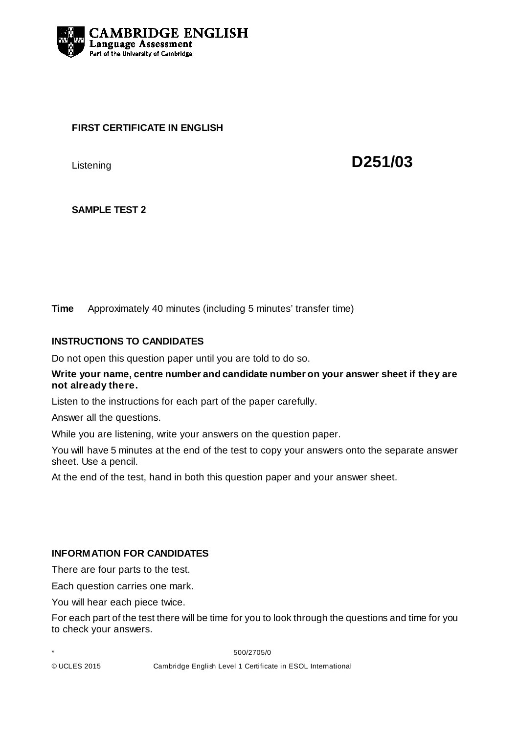

## **FIRST CERTIFICATE IN ENGLISH**

Listening **D251/03** 

# **SAMPLE TEST 2**

**Time** Approximately 40 minutes (including 5 minutes' transfer time)

## **INSTRUCTIONS TO CANDIDATES**

Do not open this question paper until you are told to do so.

### **Write your name, centre number and candidate number on your answer sheet if they are not already there.**

Listen to the instructions for each part of the paper carefully.

Answer all the questions.

While you are listening, write your answers on the question paper.

You will have 5 minutes at the end of the test to copy your answers onto the separate answer sheet. Use a pencil.

At the end of the test, hand in both this question paper and your answer sheet.

### **INFORMATION FOR CANDIDATES**

There are four parts to the test.

Each question carries one mark.

You will hear each piece twice.

For each part of the test there will be time for you to look through the questions and time for you to check your answers.

\* 500/2705/0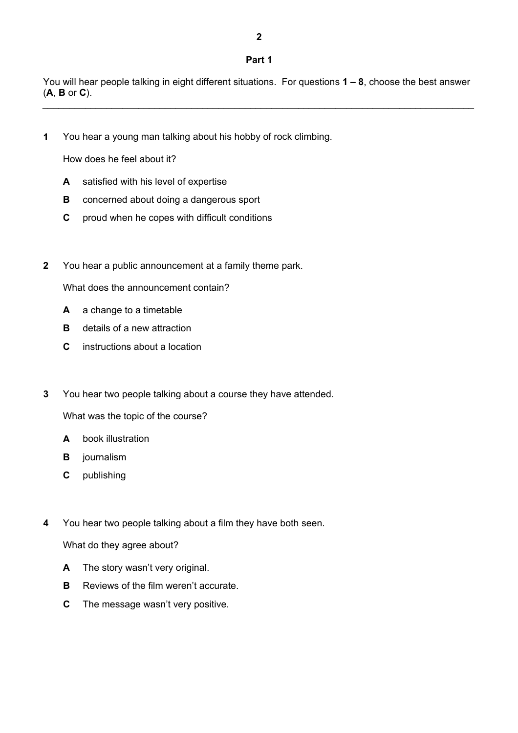**2** 

You will hear people talking in eight different situations. For questions **1 – 8**, choose the best answer (**A**, **B** or **C**). \_\_\_\_\_\_\_\_\_\_\_\_\_\_\_\_\_\_\_\_\_\_\_\_\_\_\_\_\_\_\_\_\_\_\_\_\_\_\_\_\_\_\_\_\_\_\_\_\_\_\_\_\_\_\_\_\_\_\_\_\_\_\_\_\_\_\_\_\_\_\_\_\_\_\_\_\_\_\_\_\_

**1** You hear a young man talking about his hobby of rock climbing.

How does he feel about it?

- **A** satisfied with his level of expertise
- **B** concerned about doing a dangerous sport
- **C** proud when he copes with difficult conditions
- **2** You hear a public announcement at a family theme park.

What does the announcement contain?

- **A** a change to a timetable
- **B** details of a new attraction
- **C** instructions about a location
- **3** You hear two people talking about a course they have attended.

What was the topic of the course?

- **A** book illustration
- **B journalism**
- **C** publishing
- **4** You hear two people talking about a film they have both seen.

What do they agree about?

- **A** The story wasn't very original.
- **B** Reviews of the film weren't accurate.
- **C** The message wasn't very positive.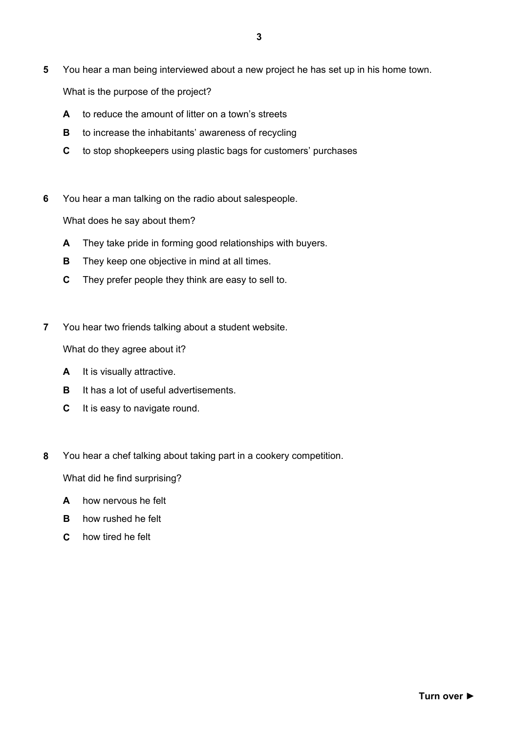- **5** You hear a man being interviewed about a new project he has set up in his home town. What is the purpose of the project?
	- **A** to reduce the amount of litter on a town's streets
	- **B** to increase the inhabitants' awareness of recycling
	- **C** to stop shopkeepers using plastic bags for customers' purchases
- **6** You hear a man talking on the radio about salespeople.

What does he say about them?

- **A** They take pride in forming good relationships with buyers.
- **B** They keep one objective in mind at all times.
- **C** They prefer people they think are easy to sell to.
- **7** You hear two friends talking about a student website.

What do they agree about it?

- **A** It is visually attractive.
- **B** It has a lot of useful advertisements.
- **C** It is easy to navigate round.
- **8** You hear a chef talking about taking part in a cookery competition.

What did he find surprising?

- **A** how nervous he felt
- **B** how rushed he felt
- **C** how tired he felt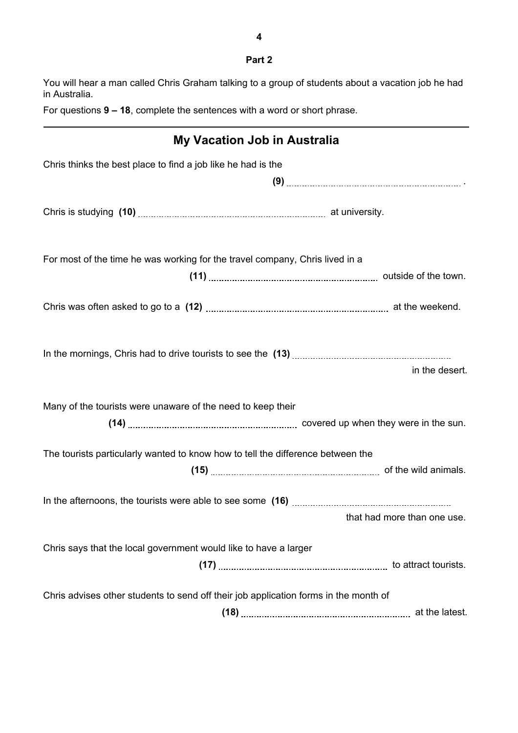You will hear a man called Chris Graham talking to a group of students about a vacation job he had in Australia.

For questions **9 – 18**, complete the sentences with a word or short phrase.

| <b>My Vacation Job in Australia</b>                                                  |                             |
|--------------------------------------------------------------------------------------|-----------------------------|
| Chris thinks the best place to find a job like he had is the                         |                             |
|                                                                                      |                             |
|                                                                                      |                             |
| For most of the time he was working for the travel company, Chris lived in a         |                             |
|                                                                                      |                             |
|                                                                                      |                             |
|                                                                                      |                             |
|                                                                                      | in the desert.              |
| Many of the tourists were unaware of the need to keep their                          |                             |
| The tourists particularly wanted to know how to tell the difference between the      |                             |
|                                                                                      |                             |
|                                                                                      |                             |
|                                                                                      | that had more than one use. |
| Chris says that the local government would like to have a larger                     |                             |
|                                                                                      |                             |
| Chris advises other students to send off their job application forms in the month of |                             |
|                                                                                      |                             |

**Part 2**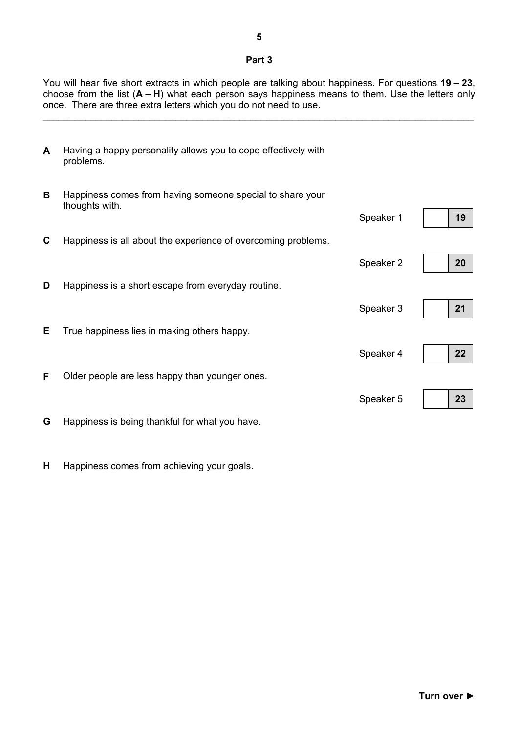#### **Part 3**

You will hear five short extracts in which people are talking about happiness. For questions **19 – 23**, choose from the list (**A – H**) what each person says happiness means to them. Use the letters only once. There are three extra letters which you do not need to use.

\_\_\_\_\_\_\_\_\_\_\_\_\_\_\_\_\_\_\_\_\_\_\_\_\_\_\_\_\_\_\_\_\_\_\_\_\_\_\_\_\_\_\_\_\_\_\_\_\_\_\_\_\_\_\_\_\_\_\_\_\_\_\_\_\_\_\_\_\_\_\_\_\_\_\_\_\_\_\_\_\_

| A | Having a happy personality allows you to cope effectively with<br>problems. |           |    |
|---|-----------------------------------------------------------------------------|-----------|----|
| B | Happiness comes from having someone special to share your<br>thoughts with. |           |    |
|   |                                                                             | Speaker 1 | 19 |
| C | Happiness is all about the experience of overcoming problems.               |           |    |
|   |                                                                             | Speaker 2 | 20 |
| D | Happiness is a short escape from everyday routine.                          |           |    |
|   |                                                                             | Speaker 3 | 21 |
| Е | True happiness lies in making others happy.                                 |           |    |
|   |                                                                             | Speaker 4 | 22 |
| F | Older people are less happy than younger ones.                              |           |    |
|   |                                                                             | Speaker 5 | 23 |
| G | Happiness is being thankful for what you have.                              |           |    |

**H** Happiness comes from achieving your goals.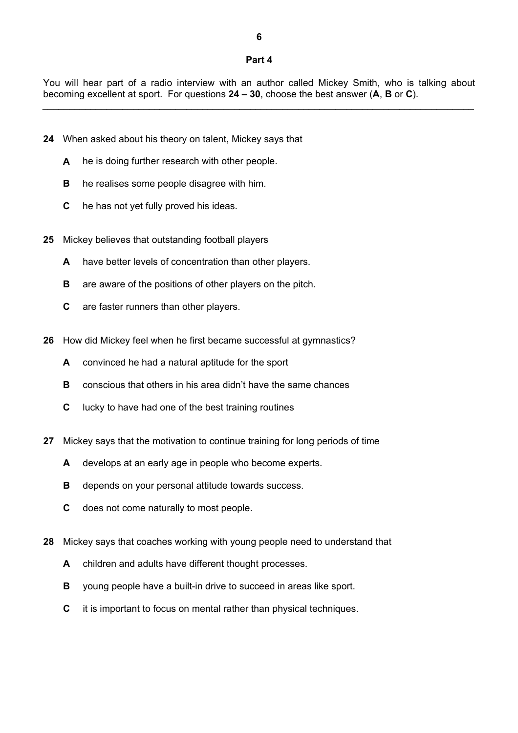#### **Part 4**

You will hear part of a radio interview with an author called Mickey Smith, who is talking about becoming excellent at sport. For questions **24 – 30**, choose the best answer (**A**, **B** or **C**). \_\_\_\_\_\_\_\_\_\_\_\_\_\_\_\_\_\_\_\_\_\_\_\_\_\_\_\_\_\_\_\_\_\_\_\_\_\_\_\_\_\_\_\_\_\_\_\_\_\_\_\_\_\_\_\_\_\_\_\_\_\_\_\_\_\_\_\_\_\_\_\_\_\_\_\_\_\_\_\_\_

- **24** When asked about his theory on talent, Mickey says that
	- A he is doing further research with other people.
	- **B** he realises some people disagree with him.
	- **C** he has not yet fully proved his ideas.
- **25** Mickey believes that outstanding football players
	- **A** have better levels of concentration than other players.
	- **B** are aware of the positions of other players on the pitch.
	- **C** are faster runners than other players.
- **26** How did Mickey feel when he first became successful at gymnastics?
	- **A** convinced he had a natural aptitude for the sport
	- **B** conscious that others in his area didn't have the same chances
	- **C** lucky to have had one of the best training routines
- **27** Mickey says that the motivation to continue training for long periods of time
	- **A** develops at an early age in people who become experts.
	- **B** depends on your personal attitude towards success.
	- **C** does not come naturally to most people.
- **28** Mickey says that coaches working with young people need to understand that
	- **A** children and adults have different thought processes.
	- **B** voung people have a built-in drive to succeed in areas like sport.
	- **C** it is important to focus on mental rather than physical techniques.